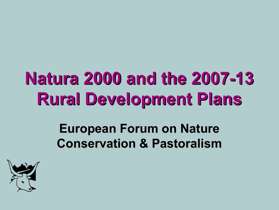# **Natura 2000 and the 2007-13 Rural Development Plans**

#### **European Forum on Nature Conservation & Pastoralism**

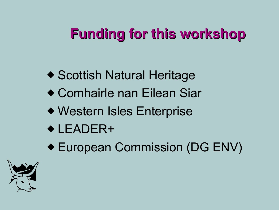# **Funding for this workshop**

- ◆ Scottish Natural Heritage
- ◆ Comhairle nan Eilean Siar
- ◆ Western Isles Enterprise
- ◆ LEADER+
- ◆ European Commission (DG ENV)

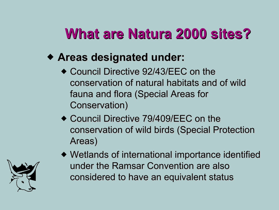# **What are Natura 2000 sites?**

- ◆ **Areas designated under:**
	- ◆ Council Directive 92/43/EEC on the conservation of natural habitats and of wild fauna and flora (Special Areas for Conservation)
	- ◆ Council Directive 79/409/EEC on the conservation of wild birds (Special Protection Areas)



◆ Wetlands of international importance identified under the Ramsar Convention are also considered to have an equivalent status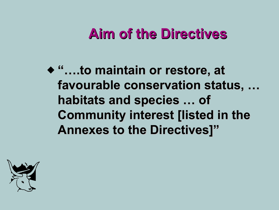#### **Aim of the Directives**

◆ "...to maintain or restore, at favourable conservation status, ... habitats and species ... of **Community interest [listed in the Annexes to the Directives]"** 

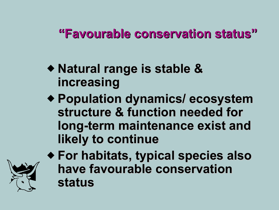#### **"Favourable conservation status"**

- ◆ **Natural range is stable & increasing**
- ◆ **Population dynamics/ ecosystem structure & function needed for long-term maintenance exist and likely to continue**



◆ **For habitats, typical species also have favourable conservation status**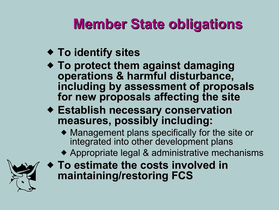# **Member State obligations**

- ◆ **To identify sites**
- ◆ **To protect them against damaging operations & harmful disturbance, including by assessment of proposals for new proposals affecting the site**
- ◆ **Establish necessary conservation measures, possibly including:**
	- ◆ Management plans specifically for the site or integrated into other development plans
	- ◆ Appropriate legal & administrative mechanisms



◆ **To estimate the costs involved in maintaining/restoring FCS**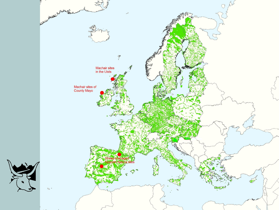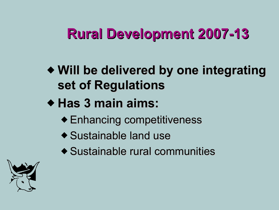# **Rural Development 2007-13**

- ◆ **Will be delivered by one integrating set of Regulations**
- ◆ **Has 3 main aims:**
	- ◆ Enhancing competitiveness
	- ◆ Sustainable land use
	- ◆ Sustainable rural communities

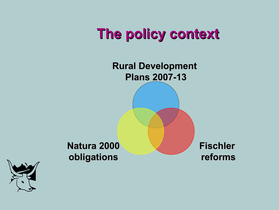### **The policy context**

**Rural Development Plans 2007-13**

**Natura 2000 obligations**

**Fischler reforms**

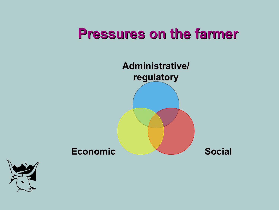#### **Pressures on the farmer**

**Administrative/ regulatory**

Economic **Social** 

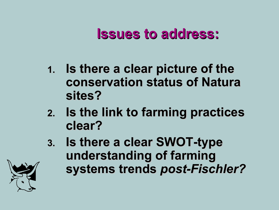#### **Issues to address:**

- **1. Is there a clear picture of the conservation status of Natura sites?**
- **2. Is the link to farming practices clear?**
- **3. Is there a clear SWOT-type understanding of farming systems trends** *post-Fischler?*

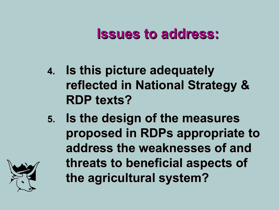#### **Issues to address:**

- **4. Is this picture adequately reflected in National Strategy & RDP texts?**
- **5. Is the design of the measures proposed in RDPs appropriate to address the weaknesses of and threats to beneficial aspects of the agricultural system?**